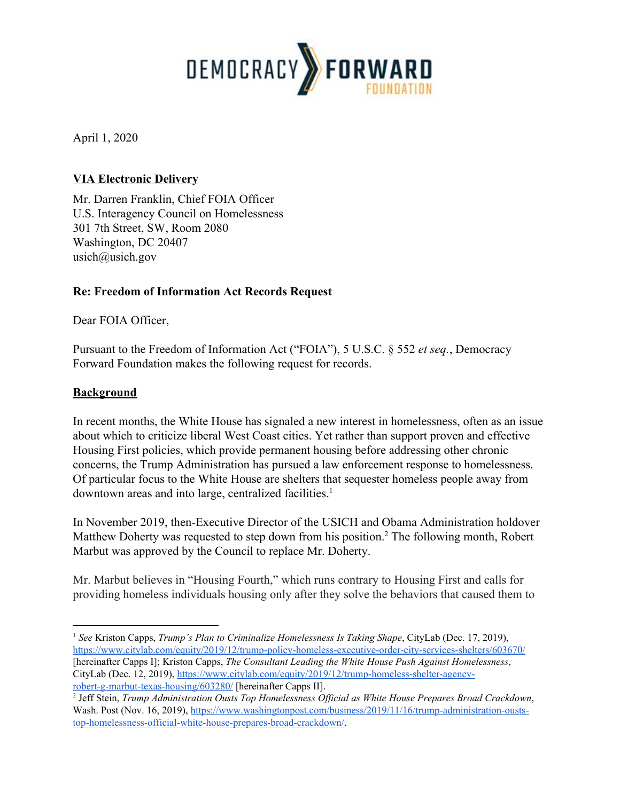

April 1, 2020

## **VIA Electronic Delivery**

Mr. Darren Franklin, Chief FOIA Officer U.S. Interagency Council on Homelessness 301 7th Street, SW, Room 2080 Washington, DC 20407 usich@usich.gov

## **Re: Freedom of Information Act Records Request**

Dear FOIA Officer,

Pursuant to the Freedom of Information Act ("FOIA"), 5 U.S.C. § 552 *et seq.*, Democracy Forward Foundation makes the following request for records.

#### **Background**

In recent months, the White House has signaled a new interest in homelessness, often as an issue about which to criticize liberal West Coast cities. Yet rather than support proven and effective Housing First policies, which provide permanent housing before addressing other chronic concerns, the Trump Administration has pursued a law enforcement response to homelessness. Of particular focus to the White House are shelters that sequester homeless people away from downtown areas and into large, centralized facilities.<sup>1</sup>

In November 2019, then-Executive Director of the USICH and Obama Administration holdover Matthew Doherty was requested to step down from his position.<sup>2</sup> The following month, Robert Marbut was approved by the Council to replace Mr. Doherty.

Mr. Marbut believes in "Housing Fourth," which runs contrary to Housing First and calls for providing homeless individuals housing only after they solve the behaviors that caused them to

<sup>1</sup> *See* Kriston Capps, *Trump's Plan to Criminalize Homelessness Is Taking Shape*, CityLab (Dec. 17, 2019), <https://www.citylab.com/equity/2019/12/trump-policy-homeless-executive-order-city-services-shelters/603670/> [hereinafter Capps I]; Kriston Capps, *The Consultant Leading the White House Push Against Homelessness*, CityLab (Dec. 12, 2019), [https://www.citylab.com/equity/2019/12/trump-homeless-shelter-agency](https://www.citylab.com/equity/2019/12/trump-homeless-shelter-agency-robert-g-marbut-texas-housing/603280/)[robert-g-marbut-texas-housing/603280/](https://www.citylab.com/equity/2019/12/trump-homeless-shelter-agency-robert-g-marbut-texas-housing/603280/) [hereinafter Capps II].

<sup>2</sup> Jeff Stein, *Trump Administration Ousts Top Homelessness Of icial as White House Prepares Broad Crackdown*, Wash. Post (Nov. 16, 2019), [https://www.washingtonpost.com/business/2019/11/16/trump-administration-ousts](https://www.washingtonpost.com/business/2019/11/16/trump-administration-ousts-top-homelessness-official-white-house-prepares-broad-crackdown/)[top-homelessness-official-white-house-prepares-broad-crackdown/](https://www.washingtonpost.com/business/2019/11/16/trump-administration-ousts-top-homelessness-official-white-house-prepares-broad-crackdown/).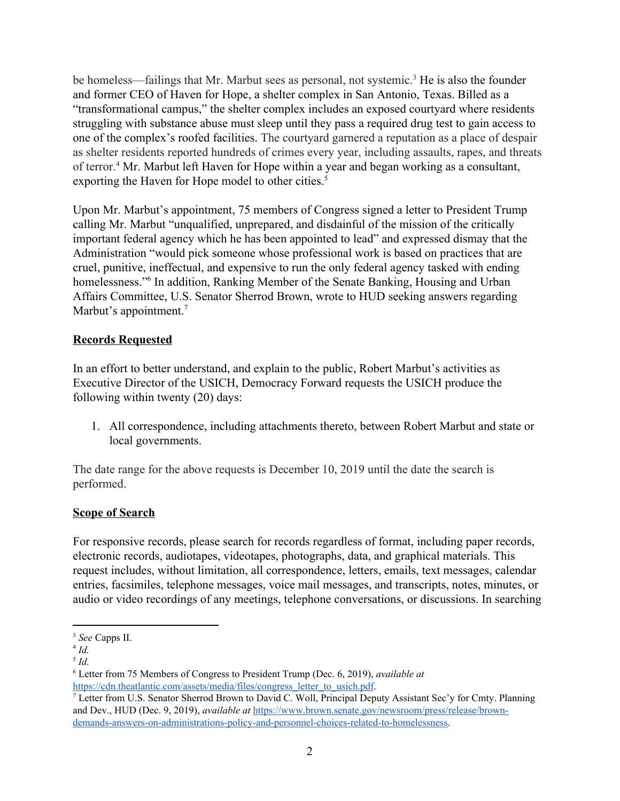be homeless—failings that Mr. Marbut sees as personal, not systemic.<sup>3</sup> He is also the founder and former CEO of Haven for Hope, a shelter complex in San Antonio, Texas. Billed as a "transformational campus," the shelter complex includes an exposed courtyard where residents struggling with substance abuse must sleep until they pass a required drug test to gain access to one of the complex's roofed facilities. The courtyard garnered a reputation as a place of despair as shelter residents reported hundreds of crimes every year, including assaults, rapes, and threats of terror.<sup>4</sup> Mr. Marbut left Haven for Hope within a year and began working as a consultant, exporting the Haven for Hope model to other cities.<sup>5</sup>

Upon Mr. Marbut's appointment, 75 members of Congress signed a letter to President Trump calling Mr. Marbut "unqualified, unprepared, and disdainful of the mission of the critically important federal agency which he has been appointed to lead" and expressed dismay that the Administration "would pick someone whose professional work is based on practices that are cruel, punitive, ineffectual, and expensive to run the only federal agency tasked with ending homelessness."<sup>6</sup> In addition, Ranking Member of the Senate Banking, Housing and Urban Affairs Committee, U.S. Senator Sherrod Brown, wrote to HUD seeking answers regarding Marbut's appointment.<sup>7</sup>

## **Records Requested**

In an effort to better understand, and explain to the public, Robert Marbut's activities as Executive Director of the USICH, Democracy Forward requests the USICH produce the following within twenty (20) days:

1. All correspondence, including attachments thereto, between Robert Marbut and state or local governments.

The date range for the above requests is December 10, 2019 until the date the search is performed.

### **Scope of Search**

For responsive records, please search for records regardless of format, including paper records, electronic records, audiotapes, videotapes, photographs, data, and graphical materials. This request includes, without limitation, all correspondence, letters, emails, text messages, calendar entries, facsimiles, telephone messages, voice mail messages, and transcripts, notes, minutes, or audio or video recordings of any meetings, telephone conversations, or discussions. In searching

<sup>3</sup> *See* Capps II.

<sup>4</sup> *Id.*

<sup>5</sup> *Id.*

<sup>6</sup> Letter from 75 Members of Congress to President Trump (Dec. 6, 2019), *available at* [https://cdn.theatlantic.com/assets/media/files/congress\\_letter\\_to\\_usich.pdf](https://cdn.theatlantic.com/assets/media/files/congress_letter_to_usich.pdf).

<sup>7</sup> Letter from U.S. Senator Sherrod Brown to David C. Woll, Principal Deputy Assistant Sec'y for Cmty. Planning and Dev., HUD (Dec. 9, 2019), *available at* [https://www.brown.senate.gov/newsroom/press/release/brown](https://www.brown.senate.gov/newsroom/press/release/brown-demands-answers-on-administrations-policy-and-personnel-choices-related-to-homelessness)[demands-answers-on-administrations-policy-and-personnel-choices-related-to-homelessness](https://www.brown.senate.gov/newsroom/press/release/brown-demands-answers-on-administrations-policy-and-personnel-choices-related-to-homelessness).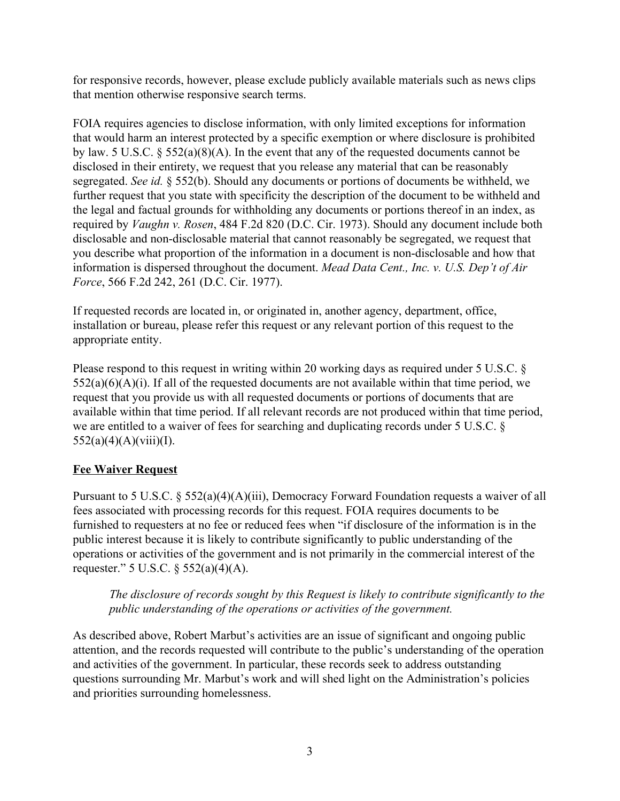for responsive records, however, please exclude publicly available materials such as news clips that mention otherwise responsive search terms.

FOIA requires agencies to disclose information, with only limited exceptions for information that would harm an interest protected by a specific exemption or where disclosure is prohibited by law. 5 U.S.C. § 552(a)(8)(A). In the event that any of the requested documents cannot be disclosed in their entirety, we request that you release any material that can be reasonably segregated. *See id.* § 552(b). Should any documents or portions of documents be withheld, we further request that you state with specificity the description of the document to be withheld and the legal and factual grounds for withholding any documents or portions thereof in an index, as required by *Vaughn v. Rosen*, 484 F.2d 820 (D.C. Cir. 1973). Should any document include both disclosable and non-disclosable material that cannot reasonably be segregated, we request that you describe what proportion of the information in a document is non-disclosable and how that information is dispersed throughout the document. *Mead Data Cent., Inc. v. U.S. Dep't of Air Force*, 566 F.2d 242, 261 (D.C. Cir. 1977).

If requested records are located in, or originated in, another agency, department, office, installation or bureau, please refer this request or any relevant portion of this request to the appropriate entity.

Please respond to this request in writing within 20 working days as required under 5 U.S.C. §  $552(a)(6)(A)(i)$ . If all of the requested documents are not available within that time period, we request that you provide us with all requested documents or portions of documents that are available within that time period. If all relevant records are not produced within that time period, we are entitled to a waiver of fees for searching and duplicating records under 5 U.S.C. §  $552(a)(4)(A)(viii)(I).$ 

# **Fee Waiver Request**

Pursuant to 5 U.S.C. § 552(a)(4)(A)(iii), Democracy Forward Foundation requests a waiver of all fees associated with processing records for this request. FOIA requires documents to be furnished to requesters at no fee or reduced fees when "if disclosure of the information is in the public interest because it is likely to contribute significantly to public understanding of the operations or activities of the government and is not primarily in the commercial interest of the requester." 5 U.S.C.  $\S$  552(a)(4)(A).

*The disclosure of records sought by this Request is likely to contribute significantly to the public understanding of the operations or activities of the government.*

As described above, Robert Marbut's activities are an issue of significant and ongoing public attention, and the records requested will contribute to the public's understanding of the operation and activities of the government. In particular, these records seek to address outstanding questions surrounding Mr. Marbut's work and will shed light on the Administration's policies and priorities surrounding homelessness.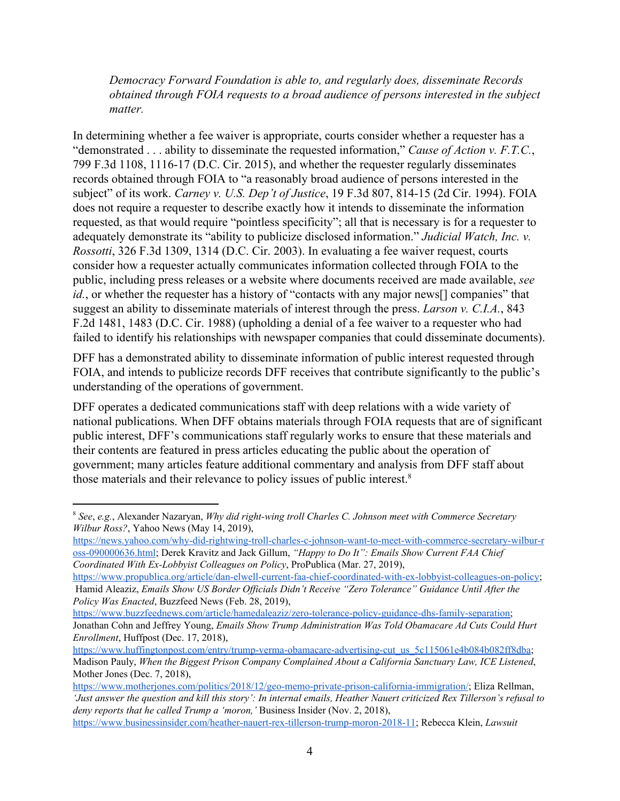*Democracy Forward Foundation is able to, and regularly does, disseminate Records obtained through FOIA requests to a broad audience of persons interested in the subject matter.*

In determining whether a fee waiver is appropriate, courts consider whether a requester has a "demonstrated . . . ability to disseminate the requested information," *Cause of Action v. F.T.C.*, 799 F.3d 1108, 1116-17 (D.C. Cir. 2015), and whether the requester regularly disseminates records obtained through FOIA to "a reasonably broad audience of persons interested in the subject" of its work. *Carney v. U.S. Dep't of Justice*, 19 F.3d 807, 814-15 (2d Cir. 1994). FOIA does not require a requester to describe exactly how it intends to disseminate the information requested, as that would require "pointless specificity"; all that is necessary is for a requester to adequately demonstrate its "ability to publicize disclosed information." *Judicial Watch, Inc. v. Rossotti*, 326 F.3d 1309, 1314 (D.C. Cir. 2003). In evaluating a fee waiver request, courts consider how a requester actually communicates information collected through FOIA to the public, including press releases or a website where documents received are made available, *see id.*, or whether the requester has a history of "contacts with any major news<sup>[]</sup> companies" that suggest an ability to disseminate materials of interest through the press. *Larson v. C.I.A.*, 843 F.2d 1481, 1483 (D.C. Cir. 1988) (upholding a denial of a fee waiver to a requester who had failed to identify his relationships with newspaper companies that could disseminate documents).

DFF has a demonstrated ability to disseminate information of public interest requested through FOIA, and intends to publicize records DFF receives that contribute significantly to the public's understanding of the operations of government.

DFF operates a dedicated communications staff with deep relations with a wide variety of national publications. When DFF obtains materials through FOIA requests that are of significant public interest, DFF's communications staff regularly works to ensure that these materials and their contents are featured in press articles educating the public about the operation of government; many articles feature additional commentary and analysis from DFF staff about those materials and their relevance to policy issues of public interest.<sup>8</sup>

<sup>8</sup> *See*, *e.g.*, Alexander Nazaryan, *Why did right-wing troll Charles C. Johnson meet with Commerce Secretary Wilbur Ross?*, Yahoo News (May 14, 2019),

[https://news.yahoo.com/why-did-rightwing-troll-charles-c-johnson-want-to-meet-with-commerce-secretary-wilbur-r](https://news.yahoo.com/why-did-rightwing-troll-charles-c-johnson-want-to-meet-with-commerce-secretary-wilbur-ross-090000636.html) [oss-090000636.html;](https://news.yahoo.com/why-did-rightwing-troll-charles-c-johnson-want-to-meet-with-commerce-secretary-wilbur-ross-090000636.html) Derek Kravitz and Jack Gillum, *"Happy to Do It": Emails Show Current FAA Chief Coordinated With Ex-Lobbyist Colleagues on Policy*, ProPublica (Mar. 27, 2019),

<https://www.propublica.org/article/dan-elwell-current-faa-chief-coordinated-with-ex-lobbyist-colleagues-on-policy>; Hamid Aleaziz, *Emails Show US Border Of icials Didn't Receive "Zero Tolerance" Guidance Until After the Policy Was Enacted*, Buzzfeed News (Feb. 28, 2019),

[https://www.buzzfeednews.com/article/hamedaleaziz/zero-tolerance-policy-guidance-dhs-family-separation;](https://www.buzzfeednews.com/article/hamedaleaziz/zero-tolerance-policy-guidance-dhs-family-separation) Jonathan Cohn and Jeffrey Young, *Emails Show Trump Administration Was Told Obamacare Ad Cuts Could Hurt Enrollment*, Huffpost (Dec. 17, 2018),

[https://www.huffingtonpost.com/entry/trump-verma-obamacare-advertising-cut\\_us\\_5c115061e4b084b082ff8dba](https://www.huffingtonpost.com/entry/trump-verma-obamacare-advertising-cut_us_5c115061e4b084b082ff8dba); Madison Pauly, *When the Biggest Prison Company Complained About a California Sanctuary Law, ICE Listened*, Mother Jones (Dec. 7, 2018),

[https://www.motherjones.com/politics/2018/12/geo-memo-private-prison-california-immigration/;](https://www.motherjones.com/politics/2018/12/geo-memo-private-prison-california-immigration/) Eliza Rellman, 'Just answer the question and kill this story': In internal emails, Heather Nauert criticized Rex Tillerson's refusal to *deny reports that he called Trump a 'moron,'* Business Insider (Nov. 2, 2018), [https://www.businessinsider.com/heather-nauert-rex-tillerson-trump-moron-2018-11;](https://www.businessinsider.com/heather-nauert-rex-tillerson-trump-moron-2018-11) Rebecca Klein, *Lawsuit*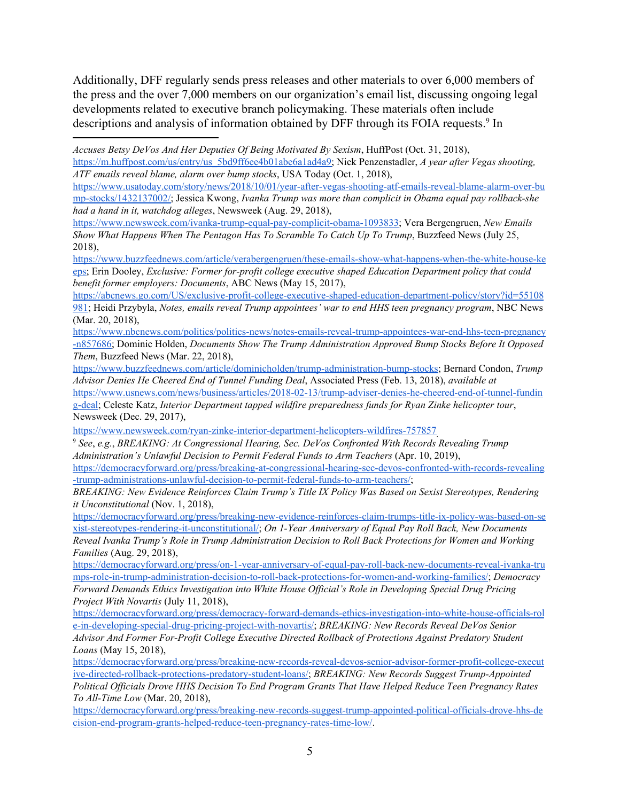Additionally, DFF regularly sends press releases and other materials to over 6,000 members of the press and the over 7,000 members on our organization's email list, discussing ongoing legal developments related to executive branch policymaking. These materials often include descriptions and analysis of information obtained by DFF through its FOIA requests.<sup>9</sup> In

[https://m.huffpost.com/us/entry/us\\_5bd9ff6ee4b01abe6a1ad4a9;](https://m.huffpost.com/us/entry/us_5bd9ff6ee4b01abe6a1ad4a9) Nick Penzenstadler, *A year after Vegas shooting, ATF emails reveal blame, alarm over bump stocks*, USA Today (Oct. 1, 2018),

[https://www.usatoday.com/story/news/2018/10/01/year-after-vegas-shooting-atf-emails-reveal-blame-alarm-over-bu](https://www.usatoday.com/story/news/2018/10/01/year-after-vegas-shooting-atf-emails-reveal-blame-alarm-over-bump-stocks/1432137002/) [mp-stocks/1432137002/;](https://www.usatoday.com/story/news/2018/10/01/year-after-vegas-shooting-atf-emails-reveal-blame-alarm-over-bump-stocks/1432137002/) Jessica Kwong, *Ivanka Trump was more than complicit in Obama equal pay rollback-she had a hand in it, watchdog alleges*, Newsweek (Aug. 29, 2018),

<https://www.newsweek.com/ivanka-trump-equal-pay-complicit-obama-1093833>; Vera Bergengruen, *New Emails Show What Happens When The Pentagon Has To Scramble To Catch Up To Trump*, Buzzfeed News (July 25, 2018),

[https://www.buzzfeednews.com/article/verabergengruen/these-emails-show-what-happens-when-the-white-house-ke](https://www.buzzfeednews.com/article/verabergengruen/these-emails-show-what-happens-when-the-white-house-keeps) [eps;](https://www.buzzfeednews.com/article/verabergengruen/these-emails-show-what-happens-when-the-white-house-keeps) Erin Dooley, *Exclusive: Former for-profit college executive shaped Education Department policy that could benefit former employers: Documents*, ABC News (May 15, 2017),

[https://abcnews.go.com/US/exclusive-profit-college-executive-shaped-education-department-policy/story?id=55108](https://abcnews.go.com/US/exclusive-profit-college-executive-shaped-education-department-policy/story?id=55108981) [981;](https://abcnews.go.com/US/exclusive-profit-college-executive-shaped-education-department-policy/story?id=55108981) Heidi Przybyla, *Notes, emails reveal Trump appointees' war to end HHS teen pregnancy program*, NBC News (Mar. 20, 2018),

[https://www.nbcnews.com/politics/politics-news/notes-emails-reveal-trump-appointees-war-end-hhs-teen-pregnancy](https://www.nbcnews.com/politics/politics-news/notes-emails-reveal-trump-appointees-war-end-hhs-teen-pregnancy-n857686) [-n857686](https://www.nbcnews.com/politics/politics-news/notes-emails-reveal-trump-appointees-war-end-hhs-teen-pregnancy-n857686); Dominic Holden, *Documents Show The Trump Administration Approved Bump Stocks Before It Opposed Them*, Buzzfeed News (Mar. 22, 2018),

[https://www.buzzfeednews.com/article/dominicholden/trump-administration-bump-stocks;](https://www.buzzfeednews.com/article/dominicholden/trump-administration-bump-stocks) Bernard Condon, *Trump Advisor Denies He Cheered End of Tunnel Funding Deal*, Associated Press (Feb. 13, 2018), *available at*

[https://www.usnews.com/news/business/articles/2018-02-13/trump-adviser-denies-he-cheered-end-of-tunnel-fundin](https://www.usnews.com/news/business/articles/2018-02-13/trump-adviser-denies-he-cheered-end-of-tunnel-funding-deal) [g-deal;](https://www.usnews.com/news/business/articles/2018-02-13/trump-adviser-denies-he-cheered-end-of-tunnel-funding-deal) Celeste Katz, *Interior Department tapped wildfire preparedness funds for Ryan Zinke helicopter tour*, Newsweek (Dec. 29, 2017),

<https://www.newsweek.com/ryan-zinke-interior-department-helicopters-wildfires-757857>.

<sup>9</sup> *See*, *e.g.*, *BREAKING: At Congressional Hearing, Sec. DeVos Confronted With Records Revealing Trump Administration's Unlawful Decision to Permit Federal Funds to Arm Teachers* (Apr. 10, 2019),

[https://democracyforward.org/press/breaking-at-congressional-hearing-sec-devos-confronted-with-records-revealing](https://democracyforward.org/press/breaking-at-congressional-hearing-sec-devos-confronted-with-records-revealing-trump-administrations-unlawful-decision-to-permit-federal-funds-to-arm-teachers/) [-trump-administrations-unlawful-decision-to-permit-federal-funds-to-arm-teachers/;](https://democracyforward.org/press/breaking-at-congressional-hearing-sec-devos-confronted-with-records-revealing-trump-administrations-unlawful-decision-to-permit-federal-funds-to-arm-teachers/)

*BREAKING: New Evidence Reinforces Claim Trump's Title IX Policy Was Based on Sexist Stereotypes, Rendering it Unconstitutional* (Nov. 1, 2018),

[https://democracyforward.org/press/breaking-new-evidence-reinforces-claim-trumps-title-ix-policy-was-based-on-se](https://democracyforward.org/press/breaking-new-evidence-reinforces-claim-trumps-title-ix-policy-was-based-on-sexist-stereotypes-rendering-it-unconstitutional/) [xist-stereotypes-rendering-it-unconstitutional/;](https://democracyforward.org/press/breaking-new-evidence-reinforces-claim-trumps-title-ix-policy-was-based-on-sexist-stereotypes-rendering-it-unconstitutional/) *On 1-Year Anniversary of Equal Pay Roll Back, New Documents Reveal Ivanka Trump's Role in Trump Administration Decision to Roll Back Protections for Women and Working Families* (Aug. 29, 2018),

[https://democracyforward.org/press/on-1-year-anniversary-of-equal-pay-roll-back-new-documents-reveal-ivanka-tru](https://democracyforward.org/press/on-1-year-anniversary-of-equal-pay-roll-back-new-documents-reveal-ivanka-trumps-role-in-trump-administration-decision-to-roll-back-protections-for-women-and-working-families/) [mps-role-in-trump-administration-decision-to-roll-back-protections-for-women-and-working-families/](https://democracyforward.org/press/on-1-year-anniversary-of-equal-pay-roll-back-new-documents-reveal-ivanka-trumps-role-in-trump-administration-decision-to-roll-back-protections-for-women-and-working-families/); *Democracy Forward Demands Ethics Investigation into White House Of icial's Role in Developing Special Drug Pricing Project With Novartis* (July 11, 2018),

[https://democracyforward.org/press/democracy-forward-demands-ethics-investigation-into-white-house-officials-rol](https://democracyforward.org/press/democracy-forward-demands-ethics-investigation-into-white-house-officials-role-in-developing-special-drug-pricing-project-with-novartis/) [e-in-developing-special-drug-pricing-project-with-novartis/](https://democracyforward.org/press/democracy-forward-demands-ethics-investigation-into-white-house-officials-role-in-developing-special-drug-pricing-project-with-novartis/); *BREAKING: New Records Reveal DeVos Senior Advisor And Former For-Profit College Executive Directed Rollback of Protections Against Predatory Student Loans* (May 15, 2018),

[https://democracyforward.org/press/breaking-new-records-reveal-devos-senior-advisor-former-profit-college-execut](https://democracyforward.org/press/breaking-new-records-reveal-devos-senior-advisor-former-profit-college-executive-directed-rollback-protections-predatory-student-loans/) [ive-directed-rollback-protections-predatory-student-loans/](https://democracyforward.org/press/breaking-new-records-reveal-devos-senior-advisor-former-profit-college-executive-directed-rollback-protections-predatory-student-loans/); *BREAKING: New Records Suggest Trump-Appointed Political Of icials Drove HHS Decision To End Program Grants That Have Helped Reduce Teen Pregnancy Rates To All-Time Low* (Mar. 20, 2018),

[https://democracyforward.org/press/breaking-new-records-suggest-trump-appointed-political-officials-drove-hhs-de](https://democracyforward.org/press/breaking-new-records-suggest-trump-appointed-political-officials-drove-hhs-decision-end-program-grants-helped-reduce-teen-pregnancy-rates-time-low/) [cision-end-program-grants-helped-reduce-teen-pregnancy-rates-time-low/.](https://democracyforward.org/press/breaking-new-records-suggest-trump-appointed-political-officials-drove-hhs-decision-end-program-grants-helped-reduce-teen-pregnancy-rates-time-low/)

*Accuses Betsy DeVos And Her Deputies Of Being Motivated By Sexism*, HuffPost (Oct. 31, 2018),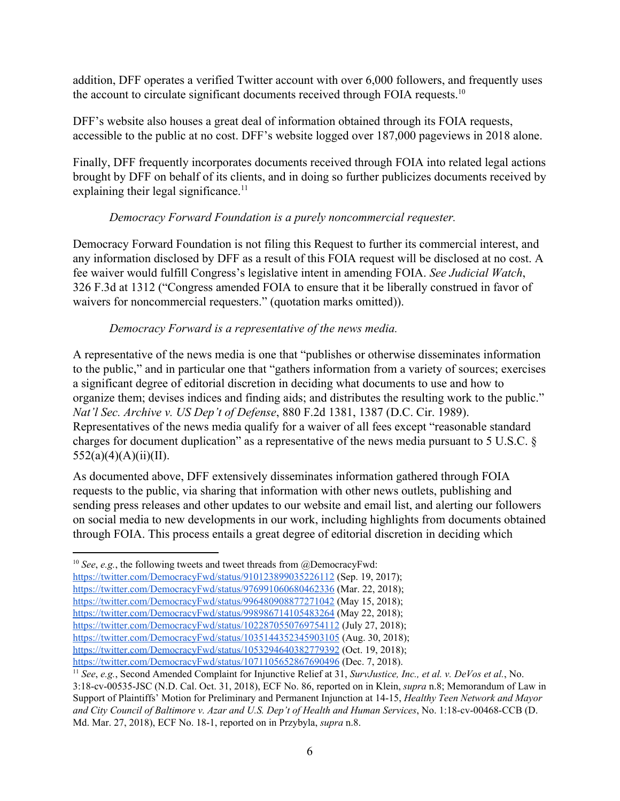addition, DFF operates a verified Twitter account with over 6,000 followers, and frequently uses the account to circulate significant documents received through FOIA requests.<sup>10</sup>

DFF's website also houses a great deal of information obtained through its FOIA requests, accessible to the public at no cost. DFF's website logged over 187,000 pageviews in 2018 alone.

Finally, DFF frequently incorporates documents received through FOIA into related legal actions brought by DFF on behalf of its clients, and in doing so further publicizes documents received by explaining their legal significance.<sup>11</sup>

## *Democracy Forward Foundation is a purely noncommercial requester.*

Democracy Forward Foundation is not filing this Request to further its commercial interest, and any information disclosed by DFF as a result of this FOIA request will be disclosed at no cost. A fee waiver would fulfill Congress's legislative intent in amending FOIA. *See Judicial Watch*, 326 F.3d at 1312 ("Congress amended FOIA to ensure that it be liberally construed in favor of waivers for noncommercial requesters." (quotation marks omitted)).

## *Democracy Forward is a representative of the news media.*

A representative of the news media is one that "publishes or otherwise disseminates information to the public," and in particular one that "gathers information from a variety of sources; exercises a significant degree of editorial discretion in deciding what documents to use and how to organize them; devises indices and finding aids; and distributes the resulting work to the public." *Nat'l Sec. Archive v. US Dep't of Defense*, 880 F.2d 1381, 1387 (D.C. Cir. 1989). Representatives of the news media qualify for a waiver of all fees except "reasonable standard charges for document duplication" as a representative of the news media pursuant to 5 U.S.C. §  $552(a)(4)(A)(ii)(II).$ 

As documented above, DFF extensively disseminates information gathered through FOIA requests to the public, via sharing that information with other news outlets, publishing and sending press releases and other updates to our website and email list, and alerting our followers on social media to new developments in our work, including highlights from documents obtained through FOIA. This process entails a great degree of editorial discretion in deciding which

<sup>&</sup>lt;sup>10</sup> *See*, *e.g.*, the following tweets and tweet threads from @DemocracyFwd:

<https://twitter.com/DemocracyFwd/status/910123899035226112> (Sep. 19, 2017);

<https://twitter.com/DemocracyFwd/status/976991060680462336> (Mar. 22, 2018);

<https://twitter.com/DemocracyFwd/status/996480908877271042> (May 15, 2018);

<https://twitter.com/DemocracyFwd/status/998986714105483264> (May 22, 2018);

<https://twitter.com/DemocracyFwd/status/1022870550769754112> (July 27, 2018);

<https://twitter.com/DemocracyFwd/status/1035144352345903105> (Aug. 30, 2018);

<https://twitter.com/DemocracyFwd/status/1053294640382779392> (Oct. 19, 2018); <https://twitter.com/DemocracyFwd/status/1071105652867690496> (Dec. 7, 2018).

<sup>11</sup> *See*, *e.g.*, Second Amended Complaint for Injunctive Relief at 31, *SurvJustice, Inc., et al. v. DeVos et al.*, No.

<sup>3:18-</sup>cv-00535-JSC (N.D. Cal. Oct. 31, 2018), ECF No. 86, reported on in Klein, *supra* n.8; Memorandum of Law in Support of Plaintiffs' Motion for Preliminary and Permanent Injunction at 14-15, *Healthy Teen Network and Mayor and City Council of Baltimore v. Azar and U.S. Dep't of Health and Human Services*, No. 1:18-cv-00468-CCB (D. Md. Mar. 27, 2018), ECF No. 18-1, reported on in Przybyla, *supra* n.8.